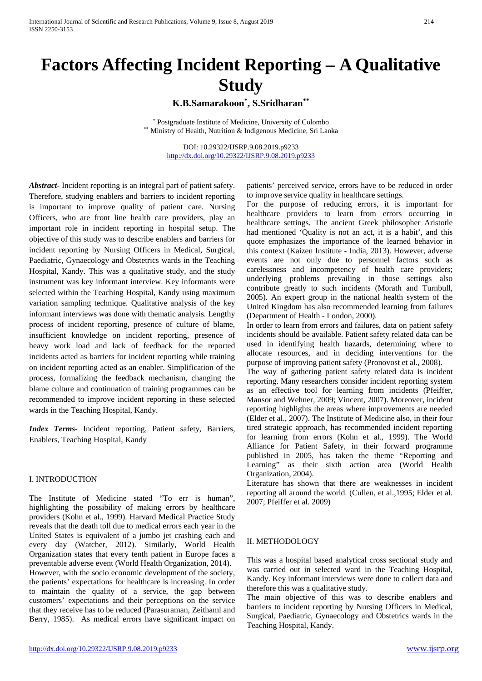# **Factors Affecting Incident Reporting – A Qualitative Study**

## **K.B.Samarakoon\*, S.Sridharan\*\***

\* Postgraduate Institute of Medicine, University of Colombo \*\* Ministry of Health, Nutrition & Indigenous Medicine, Sri Lanka

> DOI: 10.29322/IJSRP.9.08.2019.p9233 <http://dx.doi.org/10.29322/IJSRP.9.08.2019.p9233>

*Abstract-* Incident reporting is an integral part of patient safety. Therefore, studying enablers and barriers to incident reporting is important to improve quality of patient care. Nursing Officers, who are front line health care providers, play an important role in incident reporting in hospital setup. The objective of this study was to describe enablers and barriers for incident reporting by Nursing Officers in Medical, Surgical, Paediatric, Gynaecology and Obstetrics wards in the Teaching Hospital, Kandy. This was a qualitative study, and the study instrument was key informant interview. Key informants were selected within the Teaching Hospital, Kandy using maximum variation sampling technique. Qualitative analysis of the key informant interviews was done with thematic analysis. Lengthy process of incident reporting, presence of culture of blame, insufficient knowledge on incident reporting, presence of heavy work load and lack of feedback for the reported incidents acted as barriers for incident reporting while training on incident reporting acted as an enabler. Simplification of the process, formalizing the feedback mechanism, changing the blame culture and continuation of training programmes can be recommended to improve incident reporting in these selected wards in the Teaching Hospital, Kandy.

*Index Terms-* Incident reporting, Patient safety, Barriers, Enablers, Teaching Hospital, Kandy

#### I. INTRODUCTION

The Institute of Medicine stated "To err is human", highlighting the possibility of making errors by healthcare providers (Kohn et al., 1999). Harvard Medical Practice Study reveals that the death toll due to medical errors each year in the United States is equivalent of a jumbo jet crashing each and every day (Watcher, 2012). Similarly, World Health Organization states that every tenth patient in Europe faces a preventable adverse event (World Health Organization, 2014). However, with the socio economic development of the society, the patients' expectations for healthcare is increasing. In order to maintain the quality of a service, the gap between customers' expectations and their perceptions on the service that they receive has to be reduced (Parasuraman, Zeithaml and Berry, 1985). As medical errors have significant impact on patients' perceived service, errors have to be reduced in order to improve service quality in healthcare settings.

For the purpose of reducing errors, it is important for healthcare providers to learn from errors occurring in healthcare settings. The ancient Greek philosopher Aristotle had mentioned 'Quality is not an act, it is a habit', and this quote emphasizes the importance of the learned behavior in this context (Kaizen Institute - India, 2013). However, adverse events are not only due to personnel factors such as carelessness and incompetency of health care providers; underlying problems prevailing in those settings also contribute greatly to such incidents (Morath and Turnbull, 2005). An expert group in the national health system of the United Kingdom has also recommended learning from failures (Department of Health - London, 2000).

In order to learn from errors and failures, data on patient safety incidents should be available. Patient safety related data can be used in identifying health hazards, determining where to allocate resources, and in deciding interventions for the purpose of improving patient safety (Pronovost et al., 2008).

The way of gathering patient safety related data is incident reporting. Many researchers consider incident reporting system as an effective tool for learning from incidents (Pfeiffer, Mansor and Wehner, 2009; Vincent, 2007). Moreover, incident reporting highlights the areas where improvements are needed (Elder et al., 2007). The Institute of Medicine also, in their four tired strategic approach, has recommended incident reporting for learning from errors (Kohn et al., 1999). The World Alliance for Patient Safety, in their forward programme published in 2005, has taken the theme "Reporting and Learning" as their sixth action area (World Health Organization, 2004).

Literature has shown that there are weaknesses in incident reporting all around the world. (Cullen, et al.,1995; Elder et al. 2007; Pfeiffer et al. 2009)

#### II. METHODOLOGY

This was a hospital based analytical cross sectional study and was carried out in selected ward in the Teaching Hospital, Kandy. Key informant interviews were done to collect data and therefore this was a qualitative study.

The main objective of this was to describe enablers and barriers to incident reporting by Nursing Officers in Medical, Surgical, Paediatric, Gynaecology and Obstetrics wards in the Teaching Hospital, Kandy.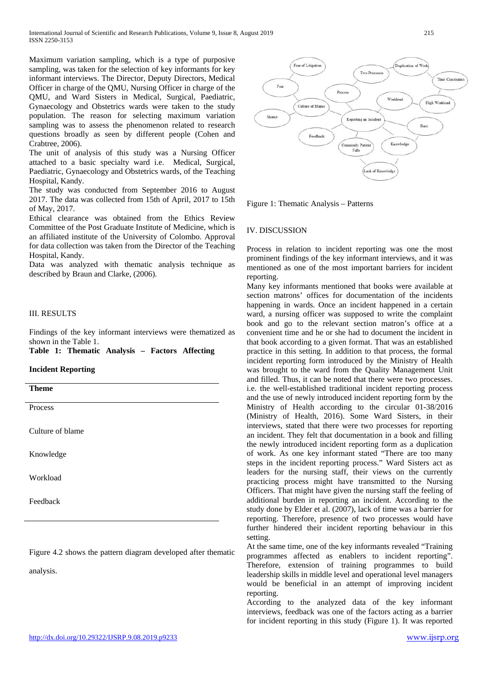Maximum variation sampling, which is a type of purposive sampling, was taken for the selection of key informants for key informant interviews. The Director, Deputy Directors, Medical Officer in charge of the QMU, Nursing Officer in charge of the QMU, and Ward Sisters in Medical, Surgical, Paediatric, Gynaecology and Obstetrics wards were taken to the study population. The reason for selecting maximum variation sampling was to assess the phenomenon related to research questions broadly as seen by different people (Cohen and Crabtree, 2006).

The unit of analysis of this study was a Nursing Officer attached to a basic specialty ward i.e. Medical, Surgical, Paediatric, Gynaecology and Obstetrics wards, of the Teaching Hospital, Kandy.

The study was conducted from September 2016 to August 2017. The data was collected from 15th of April, 2017 to 15th of May, 2017.

Ethical clearance was obtained from the Ethics Review Committee of the Post Graduate Institute of Medicine, which is an affiliated institute of the University of Colombo. Approval for data collection was taken from the Director of the Teaching Hospital, Kandy.

Data was analyzed with thematic analysis technique as described by Braun and Clarke, (2006).

#### III. RESULTS

Findings of the key informant interviews were thematized as shown in the Table 1.

**Table 1: Thematic Analysis – Factors Affecting** 

#### **Incident Reporting**

**Theme**

Process

Culture of blame

Knowledge

Workload

Feedback

Figure 4.2 shows the pattern diagram developed after thematic

analysis.



Figure 1: Thematic Analysis – Patterns

#### IV. DISCUSSION

Process in relation to incident reporting was one the most prominent findings of the key informant interviews, and it was mentioned as one of the most important barriers for incident reporting.

Many key informants mentioned that books were available at section matrons' offices for documentation of the incidents happening in wards. Once an incident happened in a certain ward, a nursing officer was supposed to write the complaint book and go to the relevant section matron's office at a convenient time and he or she had to document the incident in that book according to a given format. That was an established practice in this setting. In addition to that process, the formal incident reporting form introduced by the Ministry of Health was brought to the ward from the Quality Management Unit and filled. Thus, it can be noted that there were two processes. i.e. the well-established traditional incident reporting process and the use of newly introduced incident reporting form by the Ministry of Health according to the circular 01-38/2016 (Ministry of Health, 2016). Some Ward Sisters, in their interviews, stated that there were two processes for reporting an incident. They felt that documentation in a book and filling the newly introduced incident reporting form as a duplication of work. As one key informant stated "There are too many steps in the incident reporting process." Ward Sisters act as leaders for the nursing staff, their views on the currently practicing process might have transmitted to the Nursing Officers. That might have given the nursing staff the feeling of additional burden in reporting an incident. According to the study done by Elder et al. (2007), lack of time was a barrier for reporting. Therefore, presence of two processes would have further hindered their incident reporting behaviour in this setting.

At the same time, one of the key informants revealed "Training programmes affected as enablers to incident reporting". Therefore, extension of training programmes to build leadership skills in middle level and operational level managers would be beneficial in an attempt of improving incident reporting.

According to the analyzed data of the key informant interviews, feedback was one of the factors acting as a barrier for incident reporting in this study (Figure 1). It was reported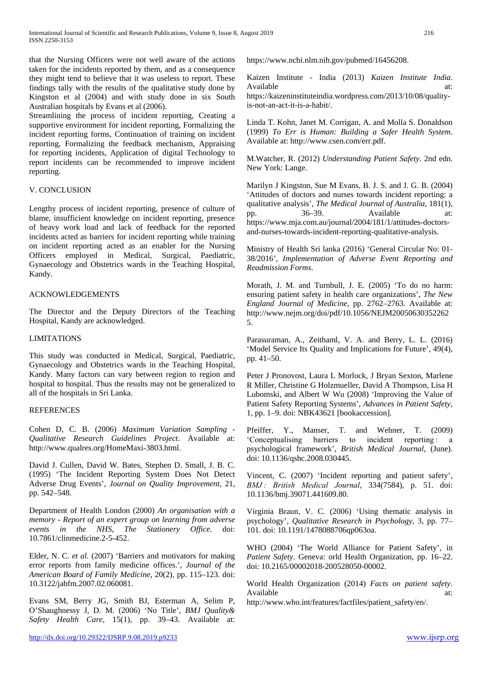that the Nursing Officers were not well aware of the actions taken for the incidents reported by them, and as a consequence they might tend to believe that it was useless to report. These findings tally with the results of the qualitative study done by Kingston et al (2004) and with study done in six South Australian hospitals by Evans et al (2006).

Streamlining the process of incident reporting, Creating a supportive environment for incident reporting, Formalizing the incident reporting forms, Continuation of training on incident reporting, Formalizing the feedback mechanism, Appraising for reporting incidents, Application of digital Technology to report incidents can be recommended to improve incident reporting.

#### V. CONCLUSION

Lengthy process of incident reporting, presence of culture of blame, insufficient knowledge on incident reporting, presence of heavy work load and lack of feedback for the reported incidents acted as barriers for incident reporting while training on incident reporting acted as an enabler for the Nursing Officers employed in Medical, Surgical, Paediatric, Gynaecology and Obstetrics wards in the Teaching Hospital, Kandy.

#### ACKNOWLEDGEMENTS

The Director and the Deputy Directors of the Teaching Hospital, Kandy are acknowledged.

#### LIMITATIONS

This study was conducted in Medical, Surgical, Paediatric, Gynaecology and Obstetrics wards in the Teaching Hospital, Kandy. Many factors can vary between region to region and hospital to hospital. Thus the results may not be generalized to all of the hospitals in Sri Lanka.

#### **REFERENCES**

Cohen D, C. B. (2006) *Maximum Variation Sampling - Qualitative Research Guidelines Project*. Available at: http://www.qualres.org/HomeMaxi-3803.html.

David J. Cullen, David W. Bates, Stephen D. Small, J. B. C. (1995) 'The Incident Reporting System Does Not Detect Adverse Drug Events', *Journal on Quality Improvement*, 21, pp. 542–548.

Department of Health London (2000) *An organisation with a memory - Report of an expert group on learning from adverse events in the NHS*, *The Stationery Office*. doi: 10.7861/clinmedicine.2-5-452.

Elder, N. C. *et al.* (2007) 'Barriers and motivators for making error reports from family medicine offices.', *Journal of the American Board of Family Medicine*, 20(2), pp. 115–123. doi: 10.3122/jabfm.2007.02.060081.

Evans SM, Berry JG, Smith BJ, Esterman A, Selim P, O'Shaughnessy J, D. M. (2006) 'No Title', *BMJ Quality& Safety Health Care*, 15(1), pp. 39–43. Available at: https://www.ncbi.nlm.nih.gov/pubmed/16456208.

Kaizen Institute - India (2013) *Kaizen Institute India*. Available at: https://kaizeninstituteindia.wordpress.com/2013/10/08/qualityis-not-an-act-it-is-a-habit/.

Linda T. Kohn, Janet M. Corrigan, A. and Molla S. Donaldson (1999) *To Err is Human: Building a Safer Health System*. Available at: http://www.csen.com/err.pdf.

M.Watcher, R. (2012) *Understanding Patient Safety*. 2nd edn. New York: Lange.

Marilyn J Kingston, Sue M Evans, B. J. S. and J. G. B. (2004) 'Attitudes of doctors and nurses towards incident reporting: a qualitative analysis', *The Medical Journal of Australia*, 181(1), pp. 36–39. Available at: https://www.mja.com.au/journal/2004/181/1/attitudes-doctorsand-nurses-towards-incident-reporting-qualitative-analysis.

Ministry of Health Sri lanka (2016) 'General Circular No: 01- 38/2016', *Implementation of Adverse Event Reporting and Readmission Forms*.

Morath, J. M. and Turnbull, J. E. (2005) 'To do no harm: ensuring patient safety in health care organizations', *The New England Journal of Medicine*, pp. 2762–2763. Available at: http://www.nejm.org/doi/pdf/10.1056/NEJM20050630352262 5.

Parasuraman, A., Zeithaml, V. A. and Berry, L. L. (2016) 'Model Service Its Quality and Implications for Future', 49(4), pp. 41–50.

Peter J Pronovost, Laura L Morlock, J Bryan Sexton, Marlene R Miller, Christine G Holzmueller, David A Thompson, Lisa H Lubomski, and Albert W Wu (2008) 'Improving the Value of Patient Safety Reporting Systems', *Advances in Patient Safety*, 1, pp. 1–9. doi: NBK43621 [bookaccession].

Pfeiffer, Y., Manser, T. and Wehner, T. (2009) 'Conceptualising barriers to incident reporting : a psychological framework', *British Medical Journal*, (June). doi: 10.1136/qshc.2008.030445.

Vincent, C. (2007) 'Incident reporting and patient safety', *BMJ : British Medical Journal*, 334(7584), p. 51. doi: 10.1136/bmj.39071.441609.80.

Virginia Braun, V. C. (2006) 'Using thematic analysis in psychology', *Qualitative Research in Psychology*, 3, pp. 77– 101. doi: 10.1191/1478088706qp063oa.

WHO (2004) 'The World Alliance for Patient Safety', in *Patient Safety*. Geneva: orld Health Organization, pp. 16–22. doi: 10.2165/00002018-200528050-00002.

World Health Organization (2014) *Facts on patient safety*. Available at:

http://www.who.int/features/factfiles/patient\_safety/en/.